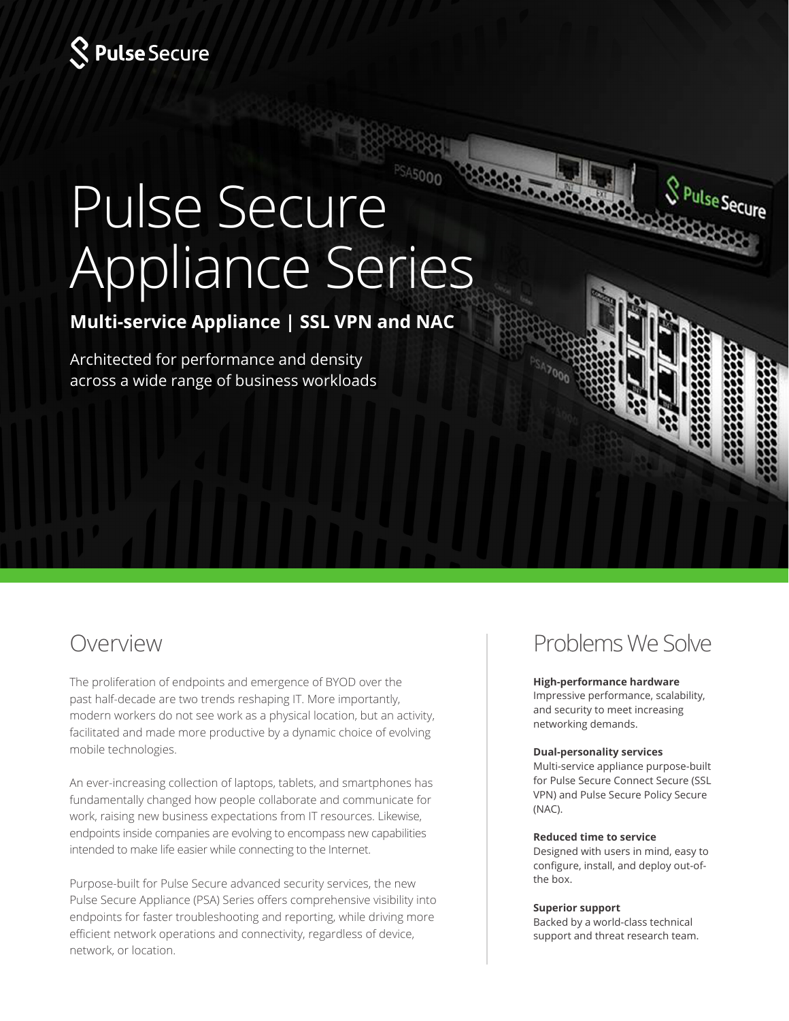

# Pulse Secure Appliance Series

## **Multi-service Appliance | SSL VPN and NAC**

Architected for performance and density across a wide range of business workloads

The proliferation of endpoints and emergence of BYOD over the past half-decade are two trends reshaping IT. More importantly, modern workers do not see work as a physical location, but an activity, facilitated and made more productive by a dynamic choice of evolving mobile technologies.

An ever-increasing collection of laptops, tablets, and smartphones has fundamentally changed how people collaborate and communicate for work, raising new business expectations from IT resources. Likewise, endpoints inside companies are evolving to encompass new capabilities intended to make life easier while connecting to the Internet.

Purpose-built for Pulse Secure advanced security services, the new Pulse Secure Appliance (PSA) Series offers comprehensive visibility into endpoints for faster troubleshooting and reporting, while driving more efficient network operations and connectivity, regardless of device, network, or location.

## Overview Problems We Solve

**SPulseSecure** 

#### **High-performance hardware**

Impressive performance, scalability, and security to meet increasing networking demands.

### **Dual-personality services**

Multi-service appliance purpose-built for Pulse Secure Connect Secure (SSL VPN) and Pulse Secure Policy Secure (NAC).

#### **Reduced time to service**

Designed with users in mind, easy to configure, install, and deploy out-ofthe box.

#### **Superior support**

Backed by a world-class technical support and threat research team.